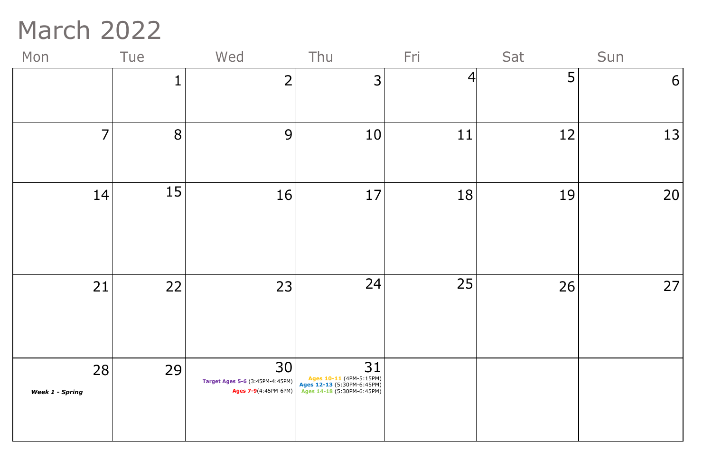## March 2022

| Mon                          | Tue | Wed                                                                                                                       | Thu | Fri | Sat | Sun |
|------------------------------|-----|---------------------------------------------------------------------------------------------------------------------------|-----|-----|-----|-----|
|                              | 1   | $\overline{2}$                                                                                                            | 3   | 4   | 5   | 6   |
| $\overline{7}$               | 8   | 9                                                                                                                         | 10  | 11  | 12  | 13  |
| 14                           | 15  | 16                                                                                                                        | 17  | 18  | 19  | 20  |
| 21                           | 22  | 23                                                                                                                        | 24  | 25  | 26  | 27  |
| 28<br><b>Week 1 - Spring</b> | 29  | 30<br>Target Ages 5-6 (3:45PM-4:45PM)<br>Ages 12-13 (5:30PM-6:45PM)<br>Ages 7-9(4:45PM-6PM)<br>Ages 14-18 (5:30PM-6:45PM) | 31  |     |     |     |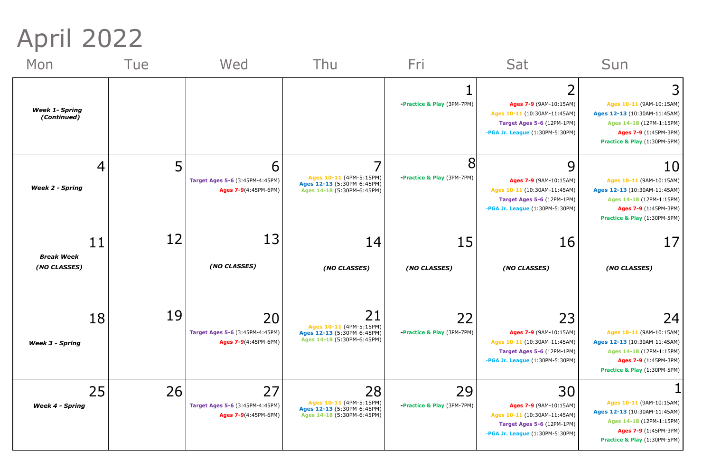April 2022

| Mon                                         | <b>Tue</b> | Wed                                                                  | <b>Thu</b>                                                                                | Fri                                         | Sat                                                                                                                           | Sun                                                                                                                                                 |
|---------------------------------------------|------------|----------------------------------------------------------------------|-------------------------------------------------------------------------------------------|---------------------------------------------|-------------------------------------------------------------------------------------------------------------------------------|-----------------------------------------------------------------------------------------------------------------------------------------------------|
| <b>Week 1- Spring</b><br>(Continued)        |            |                                                                      |                                                                                           | <b>-Practice &amp; Play (3PM-7PM)</b>       | ◠<br>Ages 7-9 (9AM-10:15AM)<br>Ages 10-11 (10:30AM-11:45AM)<br>Target Ages 5-6 (12PM-1PM)<br>-PGA Jr. League (1:30PM-5:30PM)  | 31<br>Ages 10-11 (9AM-10:15AM)<br>Ages 12-13 (10:30AM-11:45AM)<br>Ages 14-18 (12PM-1:15PM)<br>Ages 7-9 (1:45PM-3PM)<br>Practice & Play (1:30PM-5PM) |
| <b>Week 2 - Spring</b>                      | 5          | b<br>Target Ages 5-6 (3:45PM-4:45PM)<br>Ages 7-9(4:45PM-6PM)         | Ages 10-11 (4PM-5:15PM)<br>Ages 12-13 (5:30PM-6:45PM)<br>Ages 14-18 (5:30PM-6:45PM)       | <b>-Practice &amp; Play (3PM-7PM)</b>       | 9<br>Ages 7-9 (9AM-10:15AM)<br>Ages 10-11 (10:30AM-11:45AM)<br>Target Ages 5-6 (12PM-1PM)<br>-PGA Jr. League (1:30PM-5:30PM)  | 10<br>Ages 10-11 (9AM-10:15AM)<br>Ages 12-13 (10:30AM-11:45AM)<br>Ages 14-18 (12PM-1:15PM)<br>Ages 7-9 (1:45PM-3PM)<br>Practice & Play (1:30PM-5PM) |
| $11\,$<br><b>Break Week</b><br>(NO CLASSES) | 12         | 13<br>(NO CLASSES)                                                   | 14<br>(NO CLASSES)                                                                        | 15<br>(NO CLASSES)                          | 16<br>(NO CLASSES)                                                                                                            | 17 <sub>l</sub><br>(NO CLASSES)                                                                                                                     |
| 18<br><b>Week 3 - Spring</b>                | 19         | 20<br>Target Ages 5-6 (3:45PM-4:45PM)<br>Ages 7-9(4:45PM-6PM)        | 21<br>Ages 10-11 (4PM-5:15PM)<br>Ages 12-13 (5:30PM-6:45PM)<br>Ages 14-18 (5:30PM-6:45PM) | 22<br><b>-Practice &amp; Play (3PM-7PM)</b> | 23<br>Ages 7-9 (9AM-10:15AM)<br>Ages 10-11 (10:30AM-11:45AM)<br>Target Ages 5-6 (12PM-1PM)<br>-PGA Jr. League (1:30PM-5:30PM) | 24<br>Ages 10-11 (9AM-10:15AM)<br>Ages 12-13 (10:30AM-11:45AM)<br>Ages 14-18 (12PM-1:15PM)<br>Ages 7-9 (1:45PM-3PM)<br>Practice & Play (1:30PM-5PM) |
| 25<br><b>Week 4 - Spring</b>                | 26         | 27<br><b>Target Ages 5-6 (3:45PM-4:45PM)</b><br>Ages 7-9(4:45PM-6PM) | 28<br>Ages 10-11 (4PM-5:15PM)<br>Ages 12-13 (5:30PM-6:45PM)<br>Ages 14-18 (5:30PM-6:45PM) | 29<br><b>-Practice &amp; Play (3PM-7PM)</b> | 30<br>Ages 7-9 (9AM-10:15AM)<br>Ages 10-11 (10:30AM-11:45AM)<br>Target Ages 5-6 (12PM-1PM)<br>-PGA Jr. League (1:30PM-5:30PM) | Ages 10-11 (9AM-10:15AM)<br>Ages 12-13 (10:30AM-11:45AM)<br>Ages 14-18 (12PM-1:15PM)<br>Ages 7-9 (1:45PM-3PM)<br>Practice & Play (1:30PM-5PM)       |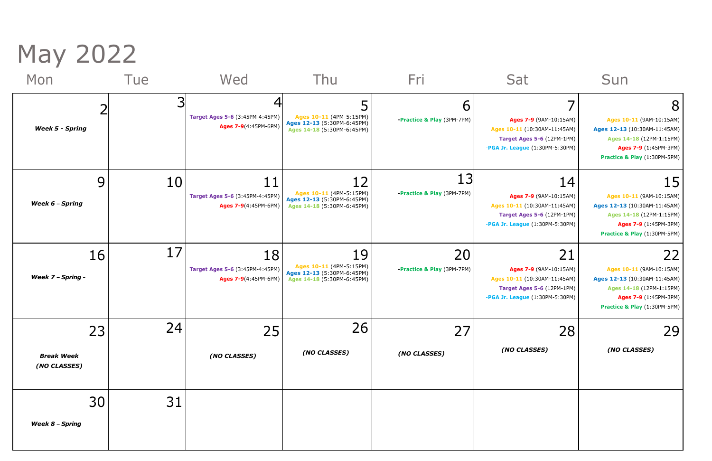May 2022

| Mon                                     | Tue | Wed                                                           | Thu                                                                                       | Fri                                         | Sat                                                                                                                           | Sun                                                                                                                                                  |
|-----------------------------------------|-----|---------------------------------------------------------------|-------------------------------------------------------------------------------------------|---------------------------------------------|-------------------------------------------------------------------------------------------------------------------------------|------------------------------------------------------------------------------------------------------------------------------------------------------|
| <b>Week 5 - Spring</b>                  | 3   | Target Ages 5-6 (3:45PM-4:45PM)<br>Ages 7-9(4:45PM-6PM)       | Ages 10-11 (4PM-5:15PM)<br>Ages 12-13 (5:30PM-6:45PM)<br>Ages 14-18 (5:30PM-6:45PM)       | 6<br><b>-Practice &amp; Play (3PM-7PM)</b>  | Ages 7-9 (9AM-10:15AM)<br>Ages 10-11 (10:30AM-11:45AM)<br>Target Ages 5-6 (12PM-1PM)<br>-PGA Jr. League (1:30PM-5:30PM)       | 8<br>Ages 10-11 (9AM-10:15AM)<br>Ages 12-13 (10:30AM-11:45AM)<br>Ages 14-18 (12PM-1:15PM)<br>Ages 7-9 (1:45PM-3PM)<br>Practice & Play (1:30PM-5PM)   |
| 9<br>Week 6 - Spring                    | 10  | 11<br>Target Ages 5-6 (3:45PM-4:45PM)<br>Ages 7-9(4:45PM-6PM) | 12<br>Ages 10-11 (4PM-5:15PM)<br>Ages 12-13 (5:30PM-6:45PM)<br>Ages 14-18 (5:30PM-6:45PM) | 13<br><b>-Practice &amp; Play (3PM-7PM)</b> | 14<br>Ages 7-9 (9AM-10:15AM)<br>Ages 10-11 (10:30AM-11:45AM)<br>Target Ages 5-6 (12PM-1PM)<br>-PGA Jr. League (1:30PM-5:30PM) | 15<br>Ages 10-11 (9AM-10:15AM)<br>Ages 12-13 (10:30AM-11:45AM)<br>Ages 14-18 (12PM-1:15PM)<br>Ages 7-9 (1:45PM-3PM)<br>Practice & Play (1:30PM-5PM)  |
| 16<br><b>Week 7 - Spring -</b>          | 17  | 18<br>Target Ages 5-6 (3:45PM-4:45PM)<br>Ages 7-9(4:45PM-6PM) | 19<br>Ages 10-11 (4PM-5:15PM)<br>Ages 12-13 (5:30PM-6:45PM)<br>Ages 14-18 (5:30PM-6:45PM) | 20<br>-Practice & Play (3PM-7PM)            | 21<br>Ages 7-9 (9AM-10:15AM)<br>Ages 10-11 (10:30AM-11:45AM)<br>Target Ages 5-6 (12PM-1PM)<br>-PGA Jr. League (1:30PM-5:30PM) | 221<br>Ages 10-11 (9AM-10:15AM)<br>Ages 12-13 (10:30AM-11:45AM)<br>Ages 14-18 (12PM-1:15PM)<br>Ages 7-9 (1:45PM-3PM)<br>Practice & Play (1:30PM-5PM) |
| 23<br><b>Break Week</b><br>(NO CLASSES) | 24  | 25<br>(NO CLASSES)                                            | 26<br>(NO CLASSES)                                                                        | 27<br>(NO CLASSES)                          | 28<br>(NO CLASSES)                                                                                                            | 29<br>(NO CLASSES)                                                                                                                                   |
| 30<br><b>Week 8 - Spring</b>            | 31  |                                                               |                                                                                           |                                             |                                                                                                                               |                                                                                                                                                      |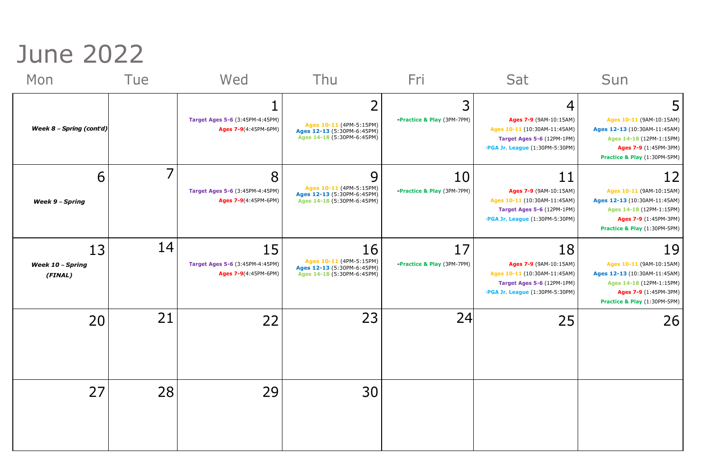## June 2022

| Mon                                      | Tue | Wed                                                                  | Thu                                                                                       | <u>Fri</u>                       | Sat                                                                                                                           | Sun                                                                                                                                                         |
|------------------------------------------|-----|----------------------------------------------------------------------|-------------------------------------------------------------------------------------------|----------------------------------|-------------------------------------------------------------------------------------------------------------------------------|-------------------------------------------------------------------------------------------------------------------------------------------------------------|
| <b>Week 8 - Spring (cont'd)</b>          |     | <b>Target Ages 5-6 (3:45PM-4:45PM)</b><br>Ages 7-9(4:45PM-6PM)       | Ages 10-11 (4PM-5:15PM)<br>Ages 12-13 (5:30PM-6:45PM)<br>Ages 14-18 (5:30PM-6:45PM)       | -Practice & Play (3PM-7PM)       | 4<br>Ages 7-9 (9AM-10:15AM)<br>Ages 10-11 (10:30AM-11:45AM)<br>Target Ages 5-6 (12PM-1PM)<br>-PGA Jr. League (1:30PM-5:30PM)  | Ages 10-11 (9AM-10:15AM)<br>Ages 12-13 (10:30AM-11:45AM)<br>Ages 14-18 (12PM-1:15PM)<br>Ages 7-9 (1:45PM-3PM)<br>Practice & Play (1:30PM-5PM)               |
| 6<br><b>Week 9 - Spring</b>              |     | 8<br>Target Ages 5-6 (3:45PM-4:45PM)<br>Ages 7-9(4:45PM-6PM)         | 9<br>Ages 10-11 (4PM-5:15PM)<br>Ages 12-13 (5:30PM-6:45PM)<br>Ages 14-18 (5:30PM-6:45PM)  | 10<br>-Practice & Play (3PM-7PM) | 11<br>Ages 7-9 (9AM-10:15AM)<br>Ages 10-11 (10:30AM-11:45AM)<br>Target Ages 5-6 (12PM-1PM)<br>-PGA Jr. League (1:30PM-5:30PM) | <u>12 </u><br>Ages 10-11 (9AM-10:15AM)<br>Ages 12-13 (10:30AM-11:45AM)<br>Ages 14-18 (12PM-1:15PM)<br>Ages 7-9 (1:45PM-3PM)<br>Practice & Play (1:30PM-5PM) |
| 13<br><b>Week 10 - Spring</b><br>(FINAL) | 14  | 15<br><b>Target Ages 5-6 (3:45PM-4:45PM)</b><br>Ages 7-9(4:45PM-6PM) | 16<br>Ages 10-11 (4PM-5:15PM)<br>Ages 12-13 (5:30PM-6:45PM)<br>Ages 14-18 (5:30PM-6:45PM) | 17<br>-Practice & Play (3PM-7PM) | 18<br>Ages 7-9 (9AM-10:15AM)<br>Ages 10-11 (10:30AM-11:45AM)<br>Target Ages 5-6 (12PM-1PM)<br>-PGA Jr. League (1:30PM-5:30PM) | 19<br>Ages 10-11 (9AM-10:15AM)<br>Ages 12-13 (10:30AM-11:45AM)<br>Ages 14-18 (12PM-1:15PM)<br>Ages 7-9 (1:45PM-3PM)<br>Practice & Play (1:30PM-5PM)         |
| 20                                       | 21  | 22                                                                   | 23                                                                                        | 24                               | 25                                                                                                                            | 26                                                                                                                                                          |
| 27                                       | 28  | 29                                                                   | 30                                                                                        |                                  |                                                                                                                               |                                                                                                                                                             |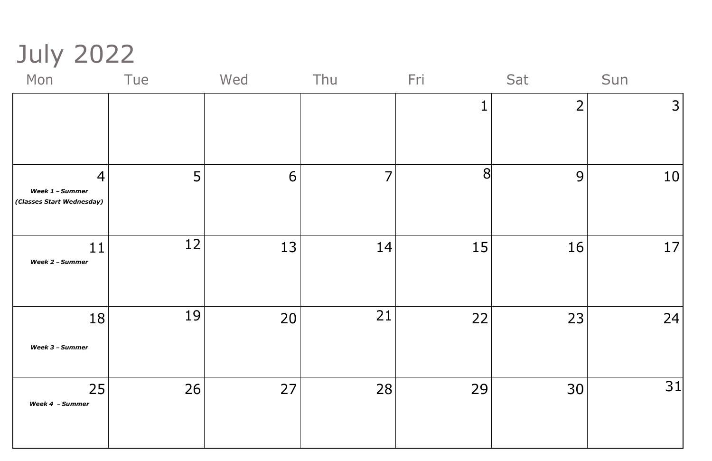## July 2022



| Mon                                          | Tue | Wed | Thu | Fri | Sat | Sun            |
|----------------------------------------------|-----|-----|-----|-----|-----|----------------|
|                                              |     |     |     |     | ⌒   | $\overline{3}$ |
|                                              |     |     |     |     |     |                |
|                                              |     |     |     |     |     |                |
| $\overline{4}$                               | 5   | 6   | 7   | 8   | 9   | 10             |
| Week 1 - Summer<br>(Classes Start Wednesday) |     |     |     |     |     |                |
|                                              |     |     |     |     |     |                |
| 11<br>Week 2 - Summer                        | 12  | 13  | 14  | 15  | 16  | 17             |
|                                              |     |     |     |     |     |                |
|                                              |     |     |     |     |     |                |
| 18                                           | 19  | 20  | 21  | 22  | 23  | 24             |
| Week 3 - Summer                              |     |     |     |     |     |                |
|                                              |     |     |     |     |     |                |
| 25<br>Week 4 - Summer                        | 26  | 27  | 28  | 29  | 30  | 31             |
|                                              |     |     |     |     |     |                |
|                                              |     |     |     |     |     |                |